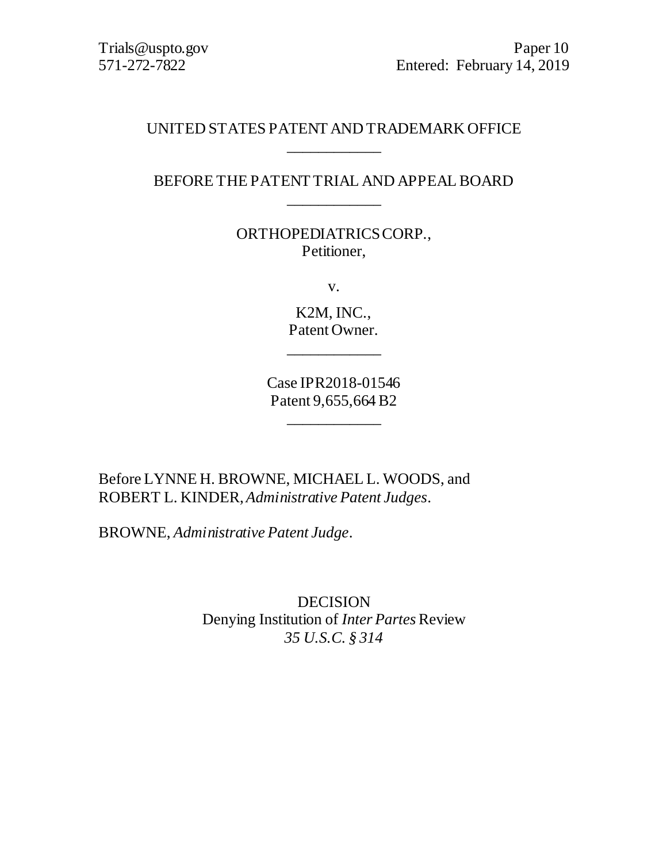## UNITED STATES PATENT AND TRADEMARK OFFICE \_\_\_\_\_\_\_\_\_\_\_\_

## BEFORE THE PATENT TRIAL AND APPEAL BOARD \_\_\_\_\_\_\_\_\_\_\_\_

ORTHOPEDIATRICS CORP., Petitioner,

v.

K2M, INC., Patent Owner.

\_\_\_\_\_\_\_\_\_\_\_\_

Case IPR2018-01546 Patent 9,655,664 B2

\_\_\_\_\_\_\_\_\_\_\_\_

Before LYNNE H. BROWNE, MICHAEL L. WOODS, and ROBERT L. KINDER, *Administrative Patent Judges*.

BROWNE, *Administrative Patent Judge*.

DECISION Denying Institution of *Inter Partes* Review *35 U.S.C. § 314*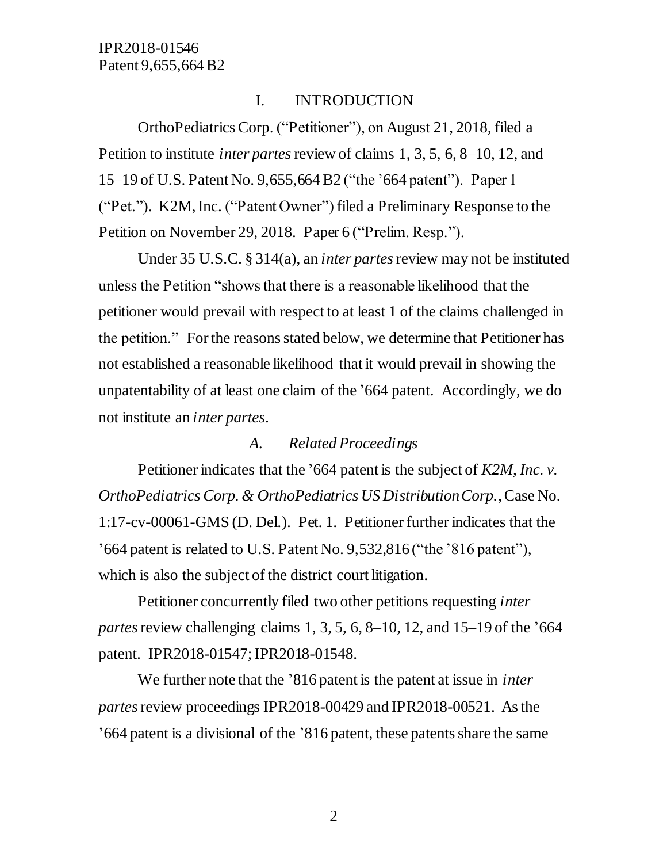## I. INTRODUCTION

OrthoPediatrics Corp. ("Petitioner"), on August 21, 2018, filed a Petition to institute *inter partes*review of claims 1, 3, 5, 6, 8–10, 12, and 15–19 of U.S. Patent No. 9,655,664 B2 ("the '664 patent"). Paper 1 ("Pet."). K2M, Inc. ("Patent Owner") filed a Preliminary Response to the Petition on November 29, 2018. Paper 6 ("Prelim. Resp.").

Under 35 U.S.C. § 314(a), an *inter partes*review may not be instituted unless the Petition "shows that there is a reasonable likelihood that the petitioner would prevail with respect to at least 1 of the claims challenged in the petition." For the reasons stated below, we determine that Petitioner has not established a reasonable likelihood that it would prevail in showing the unpatentability of at least one claim of th[e '6](https://1.next.westlaw.com/Link/Document/FullText?findType=Y&serNum=2027597573&pubNum=0004074&originatingDoc=Iae31dd50f83811e790b3a4cf54beb9bd&refType=PA&docFamilyGuid=I908f724093b111e1bce0ebcd8284ba9c&targetPreference=KindCode%3aB2&originationContext=document&transitionType=DocumentItem&contextData=(sc.Search))64 patent. Accordingly, we do not institute an *inter partes*.

### *A. Related Proceedings*

Petitioner indicates that the '664 patent is the subject of *K2M, Inc. v. OrthoPediatrics Corp. & OrthoPediatrics US Distribution Corp.*, Case No. 1:17-cv-00061-GMS (D. Del.). Pet. 1. Petitioner further indicates that the '664 patent is related to U.S. Patent No. 9,532,816 ("the '816 patent"), which is also the subject of the district court litigation.

Petitioner concurrently filed two other petitions requesting *inter partes* review challenging claims 1, 3, 5, 6, 8–10, 12, and 15–19 of the '664 patent. IPR2018-01547; IPR2018-01548.

We further note that the '816 patent is the patent at issue in *inter partes*review proceedings IPR2018-00429 and IPR2018-00521. As the '664 patent is a divisional of the '816 patent, these patents share the same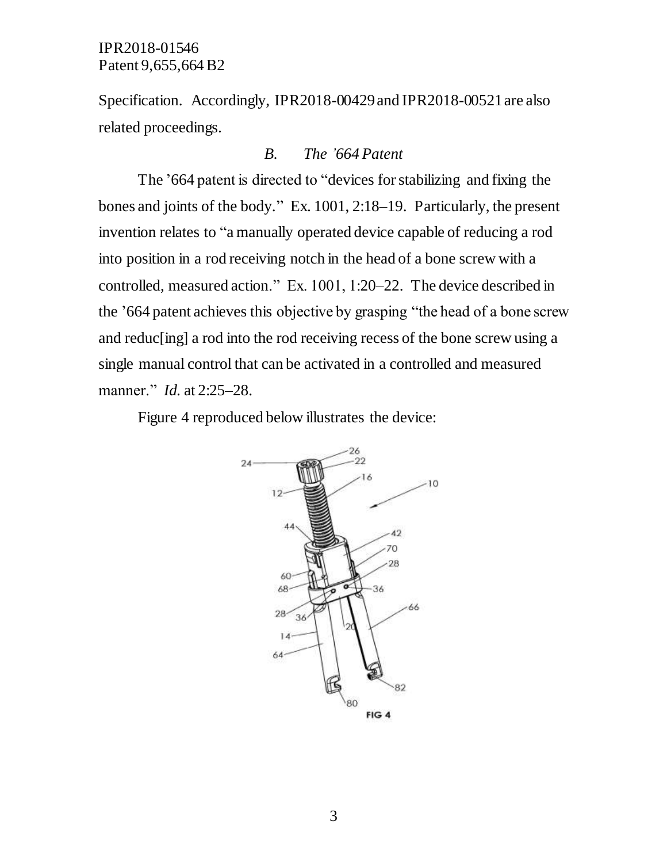Specification. Accordingly, IPR2018-00429 and IPR2018-00521 are also related proceedings.

#### *B. The '664 Patent*

The '664 patent is directed to "devices for stabilizing and fixing the bones and joints of the body." Ex. 1001, 2:18–19. Particularly, the present invention relates to "a manually operated device capable of reducing a rod into position in a rod receiving notch in the head of a bone screw with a controlled, measured action." Ex. 1001, 1:20–22. The device described in the '664 patent achieves this objective by grasping "the head of a bone screw and reduc[ing] a rod into the rod receiving recess of the bone screw using a single manual control that can be activated in a controlled and measured manner." *Id.* at 2:25–28.

Figure 4 reproduced below illustrates the device:

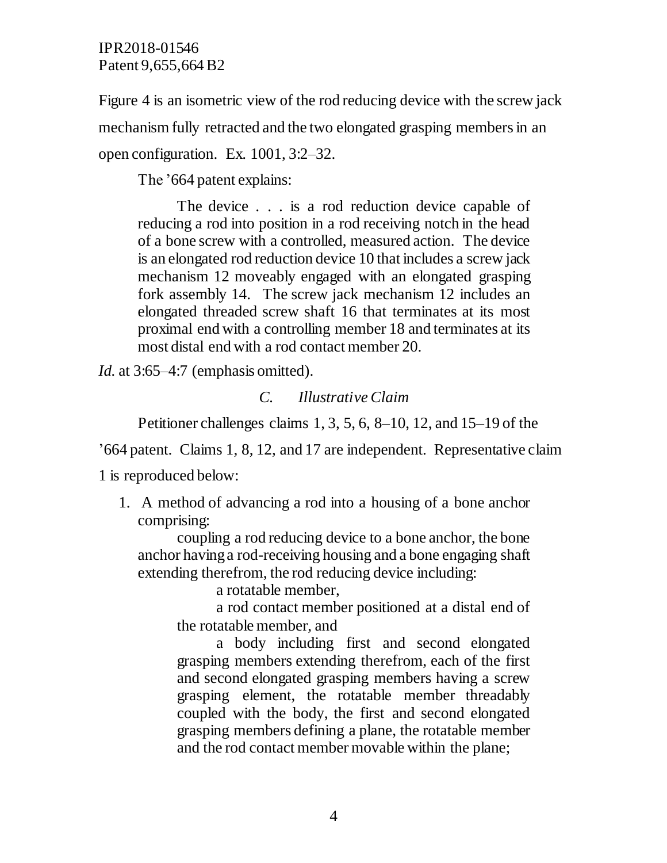Figure 4 is an isometric view of the rod reducing device with the screw jack mechanism fully retracted and the two elongated grasping members in an open configuration. Ex. 1001, 3:2–32.

The '664 patent explains:

The device . . . is a rod reduction device capable of reducing a rod into position in a rod receiving notch in the head of a bone screw with a controlled, measured action. The device is an elongated rod reduction device 10 that includes a screw jack mechanism 12 moveably engaged with an elongated grasping fork assembly 14. The screw jack mechanism 12 includes an elongated threaded screw shaft 16 that terminates at its most proximal end with a controlling member 18 and terminates at its most distal end with a rod contact member 20.

*Id.* at 3:65–4:7 (emphasis omitted).

### *C. Illustrative Claim*

Petitioner challenges claims 1, 3, 5, 6, 8–10, 12, and 15–19 of the

'664 patent. Claims 1, 8, 12, and 17 are independent. Representative claim

1 is reproduced below:

1. A method of advancing a rod into a housing of a bone anchor comprising:

coupling a rod reducing device to a bone anchor, the bone anchor having a rod-receiving housing and a bone engaging shaft extending therefrom, the rod reducing device including:

a rotatable member,

a rod contact member positioned at a distal end of the rotatable member, and

a body including first and second elongated grasping members extending therefrom, each of the first and second elongated grasping members having a screw grasping element, the rotatable member threadably coupled with the body, the first and second elongated grasping members defining a plane, the rotatable member and the rod contact member movable within the plane;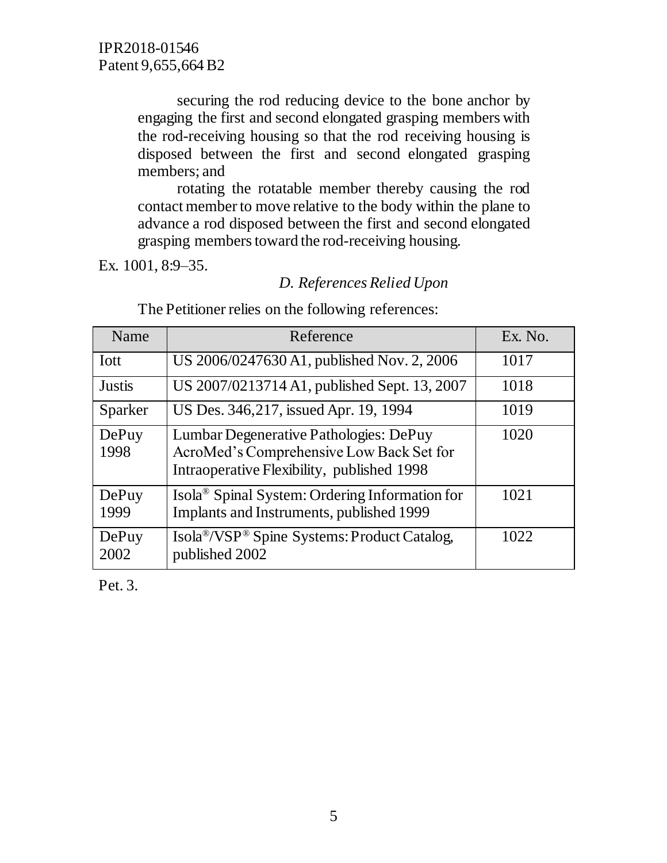securing the rod reducing device to the bone anchor by engaging the first and second elongated grasping members with the rod-receiving housing so that the rod receiving housing is disposed between the first and second elongated grasping members; and

rotating the rotatable member thereby causing the rod contact member to move relative to the body within the plane to advance a rod disposed between the first and second elongated grasping members toward the rod-receiving housing.

Ex. 1001, 8:9–35.

## *D. References Relied Upon*

| Name          | Reference                                                                                                                        | Ex. No. |
|---------------|----------------------------------------------------------------------------------------------------------------------------------|---------|
| <b>I</b> ott  | US 2006/0247630 A1, published Nov. 2, 2006                                                                                       | 1017    |
| <b>Justis</b> | US 2007/0213714 A1, published Sept. 13, 2007                                                                                     | 1018    |
| Sparker       | US Des. 346,217, issued Apr. 19, 1994                                                                                            | 1019    |
| DePuy<br>1998 | Lumbar Degenerative Pathologies: DePuy<br>AcroMed's Comprehensive Low Back Set for<br>Intraoperative Flexibility, published 1998 | 1020    |
| DePuy<br>1999 | Isola <sup>®</sup> Spinal System: Ordering Information for<br>Implants and Instruments, published 1999                           | 1021    |
| DePuy<br>2002 | Isola <sup>®</sup> /VSP <sup>®</sup> Spine Systems: Product Catalog,<br>published 2002                                           | 1022    |

The Petitioner relies on the following references:

Pet. 3.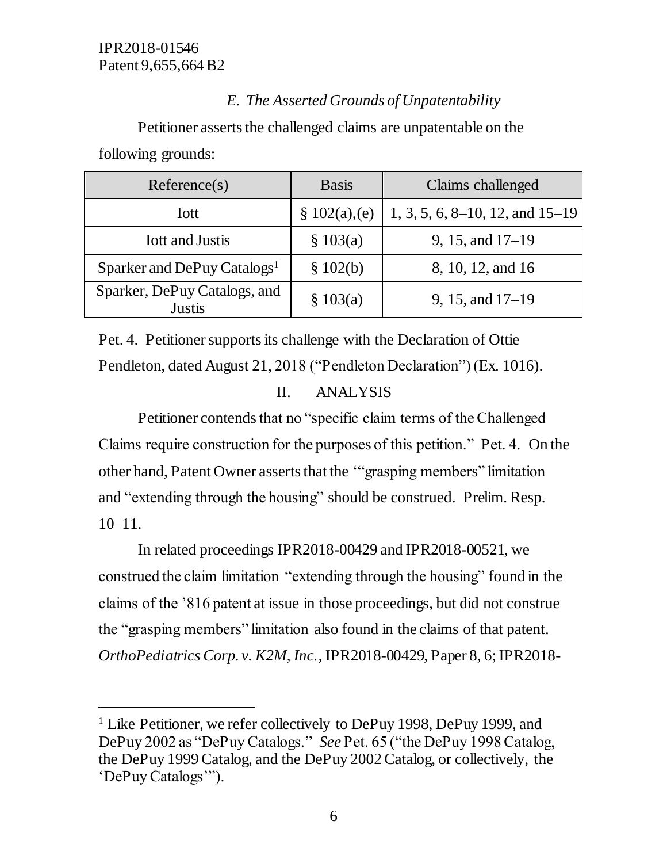$\overline{a}$ 

# *E. The Asserted Grounds of Unpatentability*

Petitioner asserts the challenged claims are unpatentable on the following grounds:

| Reference(s)                                  | <b>Basis</b> | Claims challenged                   |
|-----------------------------------------------|--------------|-------------------------------------|
| <b>I</b> ott                                  | \$102(a),(e) | $1, 3, 5, 6, 8-10, 12,$ and $15-19$ |
| <b>Iott and Justis</b>                        | \$103(a)     | 9, 15, and $17-19$                  |
| Sparker and DePuy Catalogs <sup>1</sup>       | \$102(b)     | 8, 10, 12, and 16                   |
| Sparker, DePuy Catalogs, and<br><b>Justis</b> | \$103(a)     | 9, 15, and $17-19$                  |

Pet. 4. Petitioner supports its challenge with the Declaration of Ottie Pendleton, dated August 21, 2018 ("Pendleton Declaration") (Ex. 1016).

# II. ANALYSIS

Petitioner contends that no "specific claim terms of the Challenged Claims require construction for the purposes of this petition." Pet. 4. On the other hand, Patent Owner asserts that the '"grasping members" limitation and "extending through the housing" should be construed. Prelim. Resp. 10–11.

In related proceedings IPR2018-00429 and IPR2018-00521, we construed the claim limitation "extending through the housing" found in the claims of the '816 patent at issue in those proceedings, but did not construe the "grasping members" limitation also found in the claims of that patent. *OrthoPediatrics Corp. v. K2M, Inc.*, IPR2018-00429, Paper 8, 6; IPR2018-

<sup>&</sup>lt;sup>1</sup> Like Petitioner, we refer collectively to DePuy 1998, DePuy 1999, and DePuy 2002 as "DePuy Catalogs." *See* Pet. 65 ("the DePuy 1998 Catalog, the DePuy 1999 Catalog, and the DePuy 2002 Catalog, or collectively, the 'DePuy Catalogs'").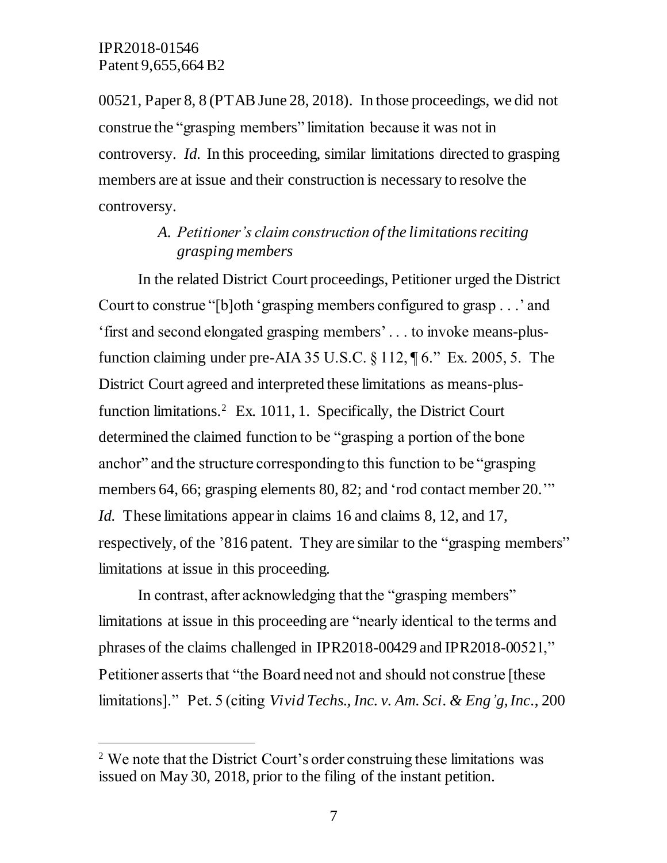$\overline{a}$ 

00521, Paper 8, 8 (PTAB June 28, 2018). In those proceedings, we did not construe the "grasping members" limitation because it was not in controversy. *Id.* In this proceeding, similar limitations directed to grasping members are at issue and their construction is necessary to resolve the controversy.

## *A. Petitioner's claim construction of the limitations reciting grasping members*

In the related District Court proceedings, Petitioner urged the District Court to construe "[b]oth 'grasping members configured to grasp . . .' and 'first and second elongated grasping members' . . . to invoke means-plusfunction claiming under pre-AIA 35 U.S.C. § 112, ¶ 6." Ex. 2005, 5. The District Court agreed and interpreted these limitations as means-plusfunction limitations. 2 Ex. 1011, 1. Specifically, the District Court determined the claimed function to be "grasping a portion of the bone anchor" and the structure corresponding to this function to be "grasping members 64, 66; grasping elements 80, 82; and 'rod contact member 20.'" *Id.* These limitations appear in claims 16 and claims 8, 12, and 17, respectively, of the '816 patent. They are similar to the "grasping members" limitations at issue in this proceeding.

In contrast, after acknowledging that the "grasping members" limitations at issue in this proceeding are "nearly identical to the terms and phrases of the claims challenged in IPR2018-00429 and IPR2018-00521," Petitioner asserts that "the Board need not and should not construe [these limitations]." Pet. 5 (citing *Vivid Techs., Inc. v. Am. Sci. & Eng'g, Inc*., 200

<sup>&</sup>lt;sup>2</sup> We note that the District Court's order construing these limitations was issued on May 30, 2018, prior to the filing of the instant petition.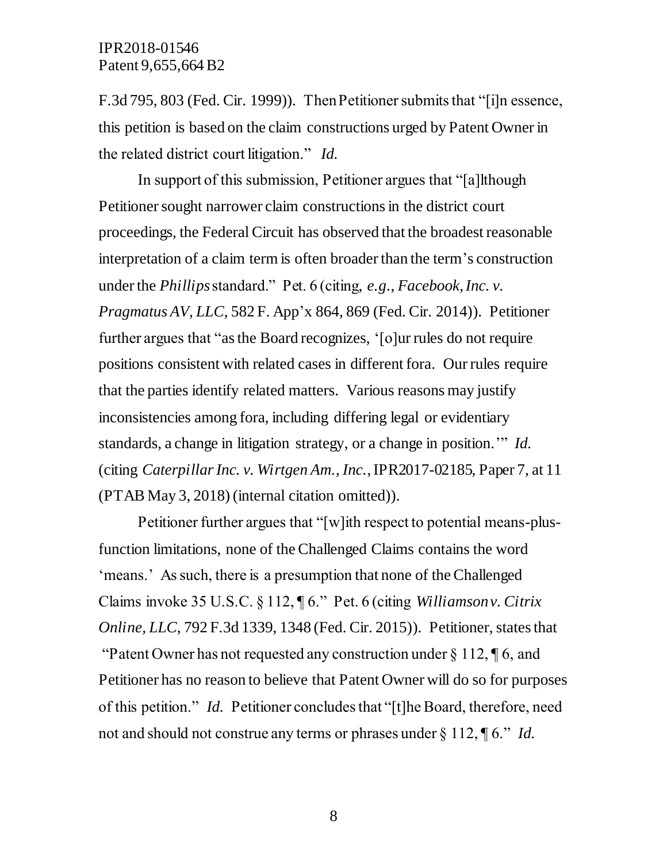F.3d 795, 803 (Fed. Cir. 1999)). Then Petitioner submits that "[i]n essence, this petition is based on the claim constructions urged by Patent Owner in the related district court litigation." *Id.*

In support of this submission, Petitioner argues that "[a]lthough Petitioner sought narrower claim constructions in the district court proceedings, the Federal Circuit has observed that the broadest reasonable interpretation of a claim term is often broader than the term's construction under the *Phillips*standard." Pet. 6 (citing, *e.g*., *Facebook, Inc. v. Pragmatus AV, LLC*, 582 F. App'x 864, 869 (Fed. Cir. 2014)). Petitioner further argues that "as the Board recognizes, '[o]ur rules do not require positions consistent with related cases in different fora. Our rules require that the parties identify related matters. Various reasons may justify inconsistencies among fora, including differing legal or evidentiary standards, a change in litigation strategy, or a change in position.'" *Id.* (citing *Caterpillar Inc. v. Wirtgen Am., Inc.*, IPR2017-02185, Paper 7, at 11 (PTAB May 3, 2018) (internal citation omitted)).

Petitioner further argues that "[w]ith respect to potential means-plusfunction limitations, none of the Challenged Claims contains the word 'means.' As such, there is a presumption that none of the Challenged Claims invoke 35 U.S.C. § 112, ¶ 6." Pet. 6 (citing *Williamson v. Citrix Online, LLC*, 792 F.3d 1339, 1348 (Fed. Cir. 2015)). Petitioner, states that "Patent Owner has not requested any construction under  $\S 112$ ,  $\P 6$ , and Petitioner has no reason to believe that Patent Owner will do so for purposes of this petition." *Id.* Petitioner concludes that "[t]he Board, therefore, need not and should not construe any terms or phrases under § 112, ¶ 6." *Id.*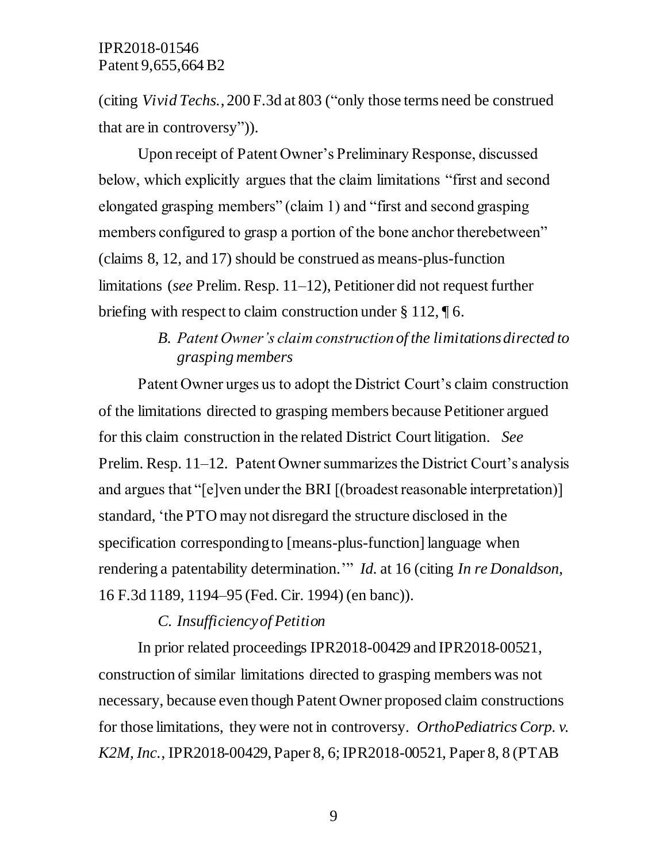(citing *Vivid Techs.*, 200 F.3d at 803 ("only those terms need be construed that are in controversy")).

Upon receipt of Patent Owner's Preliminary Response, discussed below, which explicitly argues that the claim limitations "first and second elongated grasping members" (claim 1) and "first and second grasping members configured to grasp a portion of the bone anchor therebetween" (claims 8, 12, and 17) should be construed as means-plus-function limitations (*see* Prelim. Resp. 11–12), Petitioner did not request further briefing with respect to claim construction under § 112, ¶ 6.

## *B. Patent Owner's claim construction of the limitations directed to grasping members*

Patent Owner urges us to adopt the District Court's claim construction of the limitations directed to grasping members because Petitioner argued for this claim construction in the related District Court litigation. *See*  Prelim. Resp. 11–12. Patent Owner summarizes the District Court's analysis and argues that "[e]ven under the BRI [(broadest reasonable interpretation)] standard, 'the PTO may not disregard the structure disclosed in the specification corresponding to [means-plus-function] language when rendering a patentability determination.'" *Id.* at 16 (citing *In re Donaldson*, 16 F.3d 1189, 1194–95 (Fed. Cir. 1994) (en banc)).

## *C. Insufficiency of Petition*

In prior related proceedings IPR2018-00429 and IPR2018-00521, construction of similar limitations directed to grasping members was not necessary, because even though Patent Owner proposed claim constructions for those limitations, they were not in controversy. *OrthoPediatrics Corp. v. K2M, Inc.*, IPR2018-00429, Paper 8, 6; IPR2018-00521, Paper 8, 8 (PTAB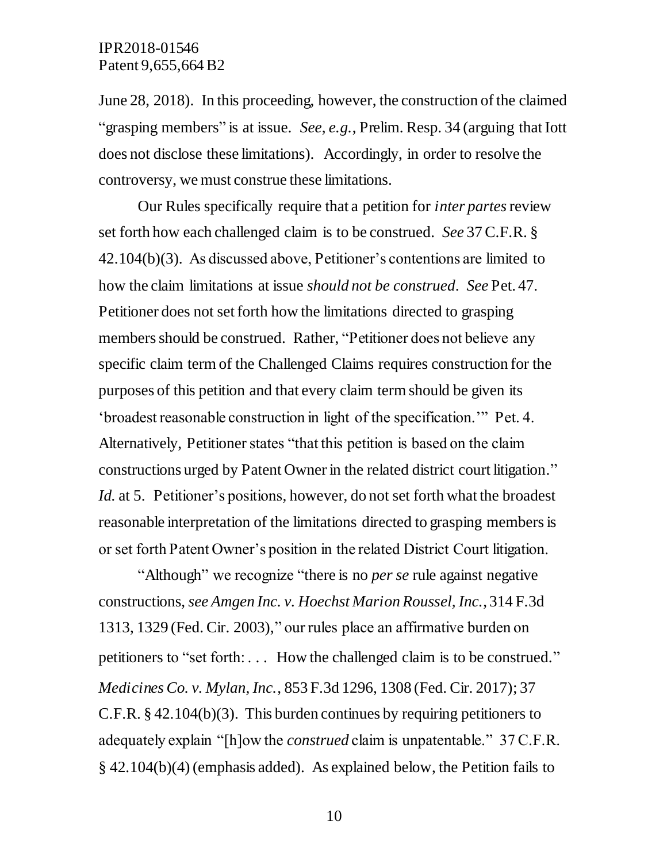June 28, 2018). In this proceeding, however, the construction of the claimed "grasping members" is at issue. *See*, *e.g.*, Prelim. Resp. 34 (arguing that Iott does not disclose these limitations). Accordingly, in order to resolve the controversy, we must construe these limitations.

Our Rules specifically require that a petition for *inter partes*review set forth how each challenged claim is to be construed. *See* 37 C.F.R. § 42.104(b)(3). As discussed above, Petitioner's contentions are limited to how the claim limitations at issue *should not be construed*. *See* Pet. 47. Petitioner does not set forth how the limitations directed to grasping members should be construed. Rather, "Petitioner does not believe any specific claim term of the Challenged Claims requires construction for the purposes of this petition and that every claim term should be given its 'broadest reasonable construction in light of the specification.'" Pet. 4. Alternatively, Petitioner states "that this petition is based on the claim constructions urged by Patent Owner in the related district court litigation." *Id.* at 5. Petitioner's positions, however, do not set forth what the broadest reasonable interpretation of the limitations directed to grasping members is or set forth Patent Owner's position in the related District Court litigation.

"Although" we recognize "there is no *per se* rule against negative constructions, *see Amgen Inc. v. Hoechst Marion Roussel, Inc.*, 314 F.3d 1313, 1329 (Fed. Cir. 2003)," our rules place an affirmative burden on petitioners to "set forth: . . . How the challenged claim is to be construed." *Medicines Co. v. Mylan, Inc.*, 853 F.3d 1296, 1308 (Fed. Cir. 2017); 37 C.F.R. § 42.104(b)(3). This burden continues by requiring petitioners to adequately explain "[h]ow the *construed* claim is unpatentable." 37 C.F.R. § 42.104(b)(4) (emphasis added). As explained below, the Petition fails to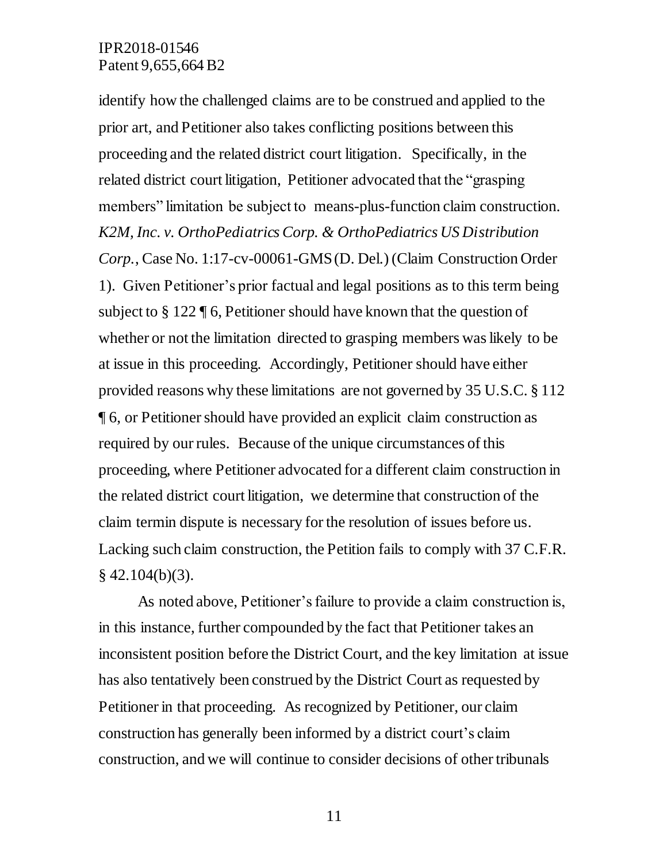identify how the challenged claims are to be construed and applied to the prior art, and Petitioner also takes conflicting positions between this proceeding and the related district court litigation. Specifically, in the related district court litigation, Petitioner advocated that the "grasping members" limitation be subject to means-plus-function claim construction. *K2M, Inc. v. OrthoPediatrics Corp. & OrthoPediatrics US Distribution Corp.*, Case No. 1:17-cv-00061-GMS (D. Del.) (Claim Construction Order 1). Given Petitioner's prior factual and legal positions as to this term being subject to § 122 ¶ 6, Petitioner should have known that the question of whether or not the limitation directed to grasping members was likely to be at issue in this proceeding. Accordingly, Petitioner should have either provided reasons why these limitations are not governed by 35 U.S.C. § 112 ¶ 6, or Petitioner should have provided an explicit claim construction as required by our rules. Because of the unique circumstances of this proceeding, where Petitioner advocated for a different claim construction in the related district court litigation, we determine that construction of the claim termin dispute is necessary for the resolution of issues before us. Lacking such claim construction, the Petition fails to comply with 37 C.F.R.  $§$  42.104(b)(3).

As noted above, Petitioner's failure to provide a claim construction is, in this instance, further compounded by the fact that Petitioner takes an inconsistent position before the District Court, and the key limitation at issue has also tentatively been construed by the District Court as requested by Petitioner in that proceeding. As recognized by Petitioner, our claim construction has generally been informed by a district court's claim construction, and we will continue to consider decisions of other tribunals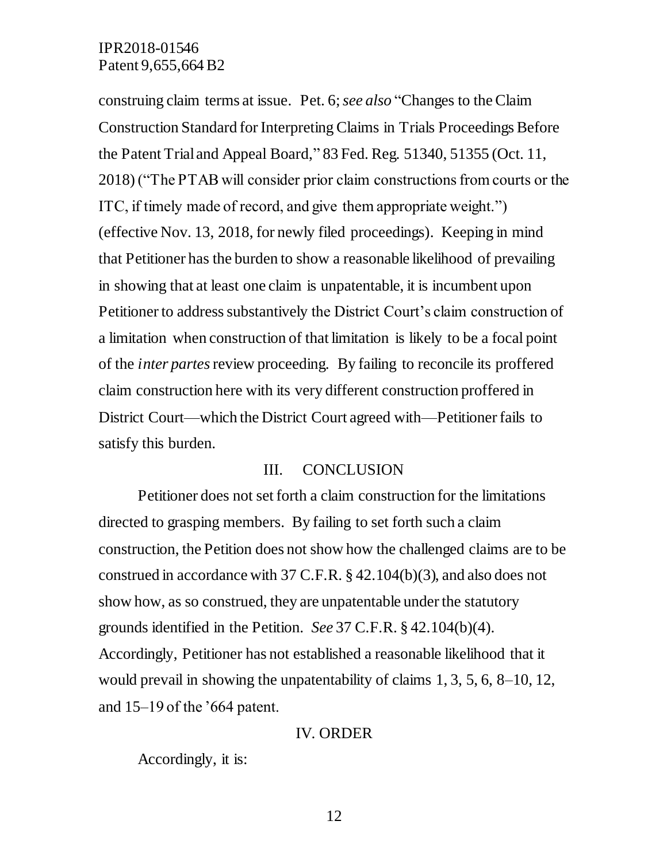construing claim terms at issue. Pet. 6; *see also* "Changes to the Claim Construction Standard for Interpreting Claims in Trials Proceedings Before the Patent Trial and Appeal Board," 83 Fed. Reg. 51340, 51355 (Oct. 11, 2018) ("The PTAB will consider prior claim constructions from courts or the ITC, if timely made of record, and give them appropriate weight.") (effective Nov. 13, 2018, for newly filed proceedings). Keeping in mind that Petitioner has the burden to show a reasonable likelihood of prevailing in showing that at least one claim is unpatentable, it is incumbent upon Petitioner to address substantively the District Court's claim construction of a limitation when construction of that limitation is likely to be a focal point of the *inter partes*review proceeding. By failing to reconcile its proffered claim construction here with its very different construction proffered in District Court—which the District Court agreed with—Petitioner fails to satisfy this burden.

#### III. CONCLUSION

Petitioner does not set forth a claim construction for the limitations directed to grasping members. By failing to set forth such a claim construction, the Petition does not show how the challenged claims are to be construed in accordance with 37 C.F.R. § 42.104(b)(3), and also does not show how, as so construed, they are unpatentable under the statutory grounds identified in the Petition. *See* 37 C.F.R. § 42.104(b)(4). Accordingly, Petitioner has not established a reasonable likelihood that it would prevail in showing the unpatentability of claims 1, 3, 5, 6, 8–10, 12, and 15–19 of the '664 patent.

#### IV. ORDER

Accordingly, it is: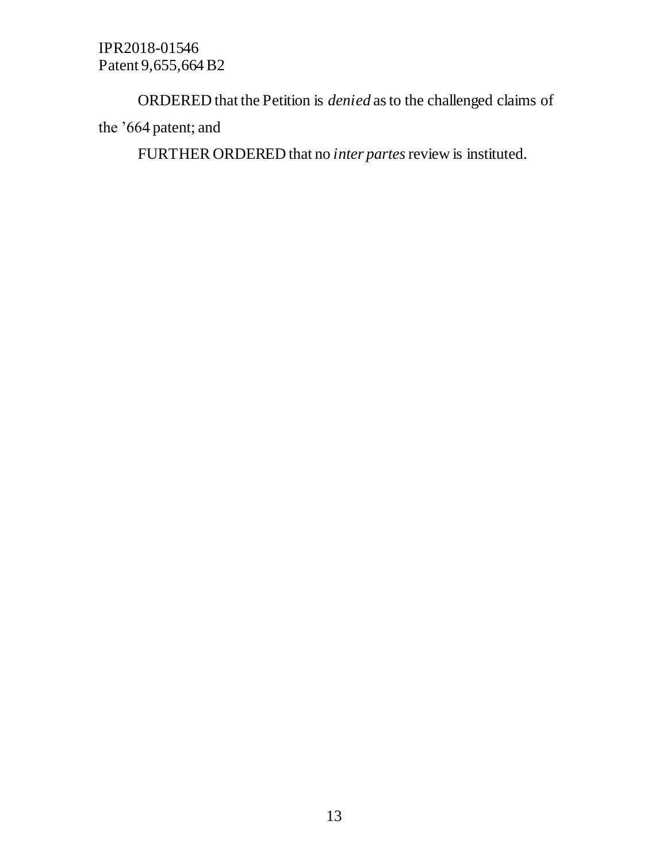ORDERED that the Petition is *denied* as to the challenged claims of the '664 patent; and

FURTHER ORDERED that no *inter partes*review is instituted.